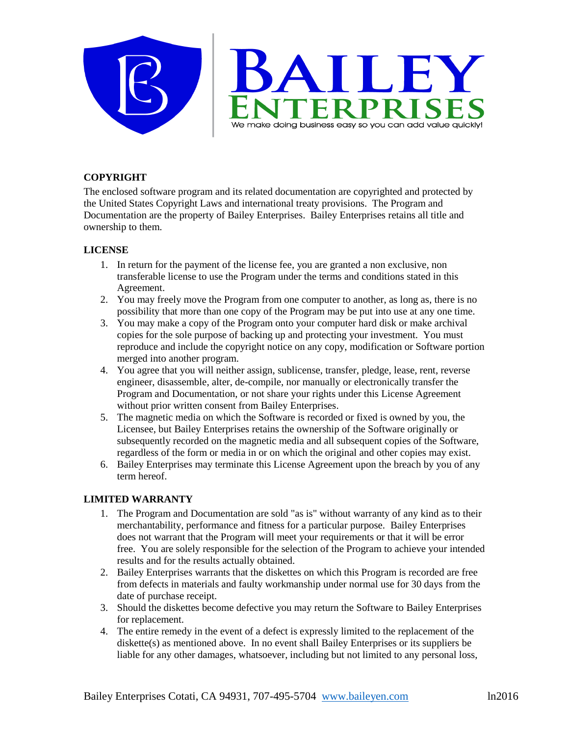

## **COPYRIGHT**

The enclosed software program and its related documentation are copyrighted and protected by the United States Copyright Laws and international treaty provisions. The Program and Documentation are the property of Bailey Enterprises. Bailey Enterprises retains all title and ownership to them.

# **LICENSE**

- 1. In return for the payment of the license fee, you are granted a non exclusive, non transferable license to use the Program under the terms and conditions stated in this Agreement.
- 2. You may freely move the Program from one computer to another, as long as, there is no possibility that more than one copy of the Program may be put into use at any one time.
- 3. You may make a copy of the Program onto your computer hard disk or make archival copies for the sole purpose of backing up and protecting your investment. You must reproduce and include the copyright notice on any copy, modification or Software portion merged into another program.
- 4. You agree that you will neither assign, sublicense, transfer, pledge, lease, rent, reverse engineer, disassemble, alter, de-compile, nor manually or electronically transfer the Program and Documentation, or not share your rights under this License Agreement without prior written consent from Bailey Enterprises.
- 5. The magnetic media on which the Software is recorded or fixed is owned by you, the Licensee, but Bailey Enterprises retains the ownership of the Software originally or subsequently recorded on the magnetic media and all subsequent copies of the Software, regardless of the form or media in or on which the original and other copies may exist.
- 6. Bailey Enterprises may terminate this License Agreement upon the breach by you of any term hereof.

# **LIMITED WARRANTY**

- 1. The Program and Documentation are sold "as is" without warranty of any kind as to their merchantability, performance and fitness for a particular purpose. Bailey Enterprises does not warrant that the Program will meet your requirements or that it will be error free. You are solely responsible for the selection of the Program to achieve your intended results and for the results actually obtained.
- 2. Bailey Enterprises warrants that the diskettes on which this Program is recorded are free from defects in materials and faulty workmanship under normal use for 30 days from the date of purchase receipt.
- 3. Should the diskettes become defective you may return the Software to Bailey Enterprises for replacement.
- 4. The entire remedy in the event of a defect is expressly limited to the replacement of the diskette(s) as mentioned above. In no event shall Bailey Enterprises or its suppliers be liable for any other damages, whatsoever, including but not limited to any personal loss,